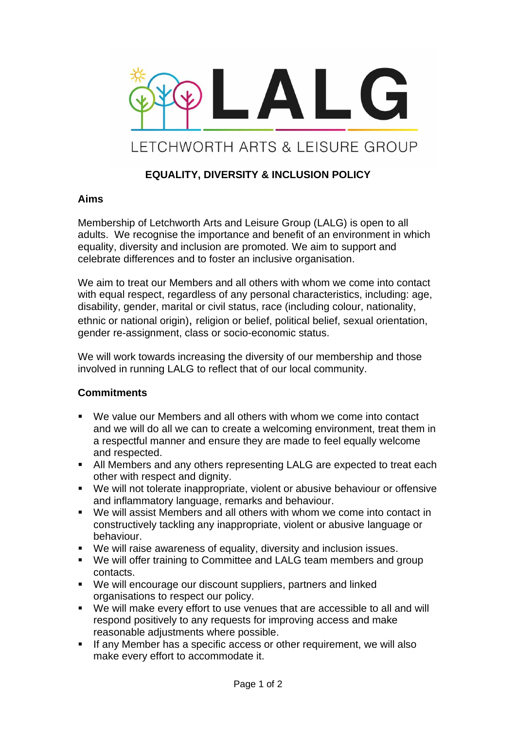

# **EQUALITY, DIVERSITY & INCLUSION POLICY**

#### **Aims**

Membership of Letchworth Arts and Leisure Group (LALG) is open to all adults. We recognise the importance and benefit of an environment in which equality, diversity and inclusion are promoted. We aim to support and celebrate differences and to foster an inclusive organisation.

We aim to treat our Members and all others with whom we come into contact with equal respect, regardless of any personal characteristics, including: age, disability, gender, marital or civil status, race (including colour, nationality, ethnic or national origin), religion or belief, political belief, sexual orientation, gender re-assignment, class or socio-economic status.

We will work towards increasing the diversity of our membership and those involved in running LALG to reflect that of our local community.

### **Commitments**

- We value our Members and all others with whom we come into contact and we will do all we can to create a welcoming environment, treat them in a respectful manner and ensure they are made to feel equally welcome and respected.
- All Members and any others representing LALG are expected to treat each other with respect and dignity.
- We will not tolerate inappropriate, violent or abusive behaviour or offensive and inflammatory language, remarks and behaviour.
- We will assist Members and all others with whom we come into contact in constructively tackling any inappropriate, violent or abusive language or behaviour.
- We will raise awareness of equality, diversity and inclusion issues.
- We will offer training to Committee and LALG team members and group contacts.
- We will encourage our discount suppliers, partners and linked organisations to respect our policy.
- We will make every effort to use venues that are accessible to all and will respond positively to any requests for improving access and make reasonable adjustments where possible.
- **EXECT:** If any Member has a specific access or other requirement, we will also make every effort to accommodate it.